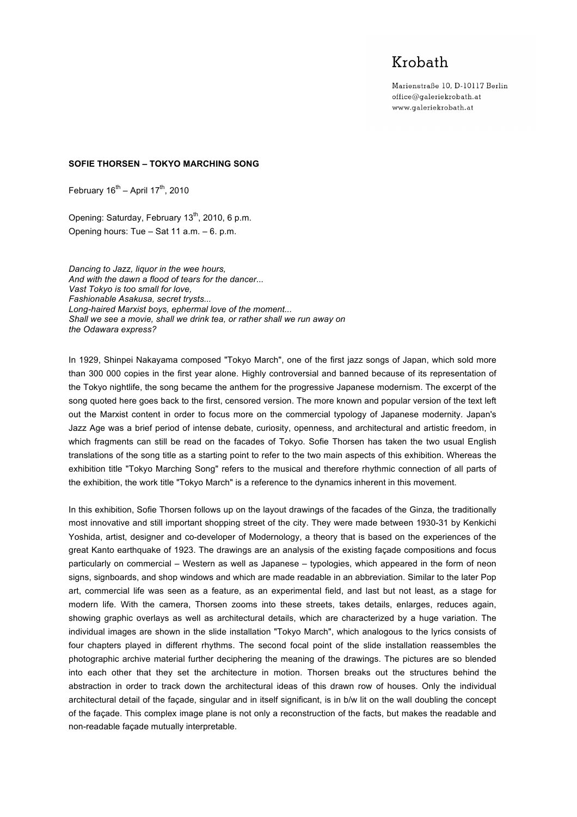## Krobath

Marienstraße 10, D-10117 Berlin office@galeriekrobath.at www.galeriekrobath.at

## **SOFIE THORSEN – TOKYO MARCHING SONG**

February  $16^{th}$  – April  $17^{th}$ , 2010

Opening: Saturday, February  $13^{th}$ , 2010, 6 p.m. Opening hours: Tue – Sat 11 a.m. – 6. p.m.

*Dancing to Jazz, liquor in the wee hours, And with the dawn a flood of tears for the dancer... Vast Tokyo is too small for love, Fashionable Asakusa, secret trysts... Long-haired Marxist boys, ephermal love of the moment... Shall we see a movie, shall we drink tea, or rather shall we run away on the Odawara express?*

In 1929, Shinpei Nakayama composed "Tokyo March", one of the first jazz songs of Japan, which sold more than 300 000 copies in the first year alone. Highly controversial and banned because of its representation of the Tokyo nightlife, the song became the anthem for the progressive Japanese modernism. The excerpt of the song quoted here goes back to the first, censored version. The more known and popular version of the text left out the Marxist content in order to focus more on the commercial typology of Japanese modernity. Japan's Jazz Age was a brief period of intense debate, curiosity, openness, and architectural and artistic freedom, in which fragments can still be read on the facades of Tokyo. Sofie Thorsen has taken the two usual English translations of the song title as a starting point to refer to the two main aspects of this exhibition. Whereas the exhibition title "Tokyo Marching Song" refers to the musical and therefore rhythmic connection of all parts of the exhibition, the work title "Tokyo March" is a reference to the dynamics inherent in this movement.

In this exhibition, Sofie Thorsen follows up on the layout drawings of the facades of the Ginza, the traditionally most innovative and still important shopping street of the city. They were made between 1930-31 by Kenkichi Yoshida, artist, designer and co-developer of Modernology, a theory that is based on the experiences of the great Kanto earthquake of 1923. The drawings are an analysis of the existing façade compositions and focus particularly on commercial – Western as well as Japanese – typologies, which appeared in the form of neon signs, signboards, and shop windows and which are made readable in an abbreviation. Similar to the later Pop art, commercial life was seen as a feature, as an experimental field, and last but not least, as a stage for modern life. With the camera, Thorsen zooms into these streets, takes details, enlarges, reduces again, showing graphic overlays as well as architectural details, which are characterized by a huge variation. The individual images are shown in the slide installation "Tokyo March", which analogous to the lyrics consists of four chapters played in different rhythms. The second focal point of the slide installation reassembles the photographic archive material further deciphering the meaning of the drawings. The pictures are so blended into each other that they set the architecture in motion. Thorsen breaks out the structures behind the abstraction in order to track down the architectural ideas of this drawn row of houses. Only the individual architectural detail of the façade, singular and in itself significant, is in b/w lit on the wall doubling the concept of the façade. This complex image plane is not only a reconstruction of the facts, but makes the readable and non-readable façade mutually interpretable.